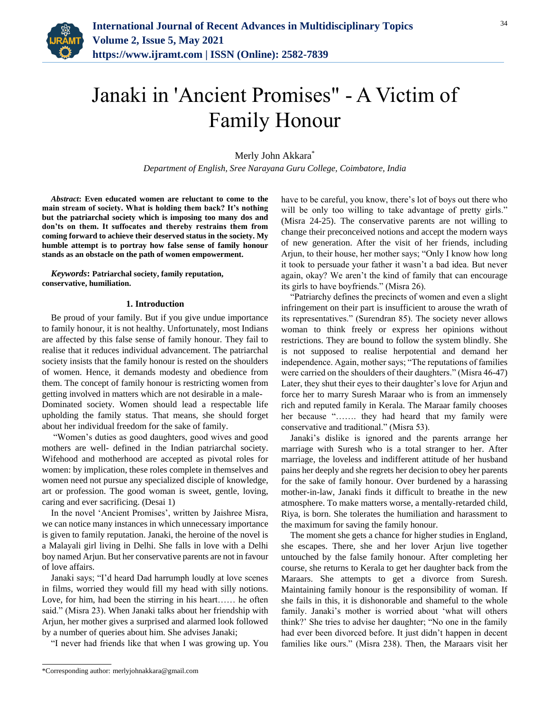

## Janaki in 'Ancient Promises" - A Victim of Family Honour

Merly John Akkara<sup>\*</sup>

*Department of English, Sree Narayana Guru College, Coimbatore, India*

*Abstract***: Even educated women are reluctant to come to the main stream of society. What is holding them back? It's nothing but the patriarchal society which is imposing too many dos and don'ts on them. It suffocates and thereby restrains them from coming forward to achieve their deserved status in the society. My humble attempt is to portray how false sense of family honour stands as an obstacle on the path of women empowerment.**

*Keywords***: Patriarchal society, family reputation, conservative, humiliation.**

## **1. Introduction**

Be proud of your family. But if you give undue importance to family honour, it is not healthy. Unfortunately, most Indians are affected by this false sense of family honour. They fail to realise that it reduces individual advancement. The patriarchal society insists that the family honour is rested on the shoulders of women. Hence, it demands modesty and obedience from them. The concept of family honour is restricting women from getting involved in matters which are not desirable in a male-Dominated society. Women should lead a respectable life upholding the family status. That means, she should forget about her individual freedom for the sake of family.

"Women's duties as good daughters, good wives and good mothers are well- defined in the Indian patriarchal society. Wifehood and motherhood are accepted as pivotal roles for women: by implication, these roles complete in themselves and women need not pursue any specialized disciple of knowledge, art or profession. The good woman is sweet, gentle, loving, caring and ever sacrificing. (Desai 1)

In the novel 'Ancient Promises', written by Jaishree Misra, we can notice many instances in which unnecessary importance is given to family reputation. Janaki, the heroine of the novel is a Malayali girl living in Delhi. She falls in love with a Delhi boy named Arjun. But her conservative parents are not in favour of love affairs.

Janaki says; "I'd heard Dad harrumph loudly at love scenes in films, worried they would fill my head with silly notions. Love, for him, had been the stirring in his heart…… he often said." (Misra 23). When Janaki talks about her friendship with Arjun, her mother gives a surprised and alarmed look followed by a number of queries about him. She advises Janaki;

"I never had friends like that when I was growing up. You

have to be careful, you know, there's lot of boys out there who will be only too willing to take advantage of pretty girls." (Misra 24-25). The conservative parents are not willing to change their preconceived notions and accept the modern ways of new generation. After the visit of her friends, including Arjun, to their house, her mother says; "Only I know how long it took to persuade your father it wasn't a bad idea. But never again, okay? We aren't the kind of family that can encourage its girls to have boyfriends." (Misra 26).

"Patriarchy defines the precincts of women and even a slight infringement on their part is insufficient to arouse the wrath of its representatives." (Surendran 85). The society never allows woman to think freely or express her opinions without restrictions. They are bound to follow the system blindly. She is not supposed to realise herpotential and demand her independence. Again, mother says; "The reputations of families were carried on the shoulders of their daughters." (Misra 46-47) Later, they shut their eyes to their daughter's love for Arjun and force her to marry Suresh Maraar who is from an immensely rich and reputed family in Kerala. The Maraar family chooses her because "……. they had heard that my family were conservative and traditional." (Misra 53).

Janaki's dislike is ignored and the parents arrange her marriage with Suresh who is a total stranger to her. After marriage, the loveless and indifferent attitude of her husband pains her deeply and she regrets her decision to obey her parents for the sake of family honour. Over burdened by a harassing mother-in-law, Janaki finds it difficult to breathe in the new atmosphere. To make matters worse, a mentally-retarded child, Riya, is born. She tolerates the humiliation and harassment to the maximum for saving the family honour.

The moment she gets a chance for higher studies in England, she escapes. There, she and her lover Arjun live together untouched by the false family honour. After completing her course, she returns to Kerala to get her daughter back from the Maraars. She attempts to get a divorce from Suresh. Maintaining family honour is the responsibility of woman. If she fails in this, it is dishonorable and shameful to the whole family. Janaki's mother is worried about 'what will others think?' She tries to advise her daughter; "No one in the family had ever been divorced before. It just didn't happen in decent families like ours." (Misra 238). Then, the Maraars visit her

<sup>\*</sup>Corresponding author: merlyjohnakkara@gmail.com